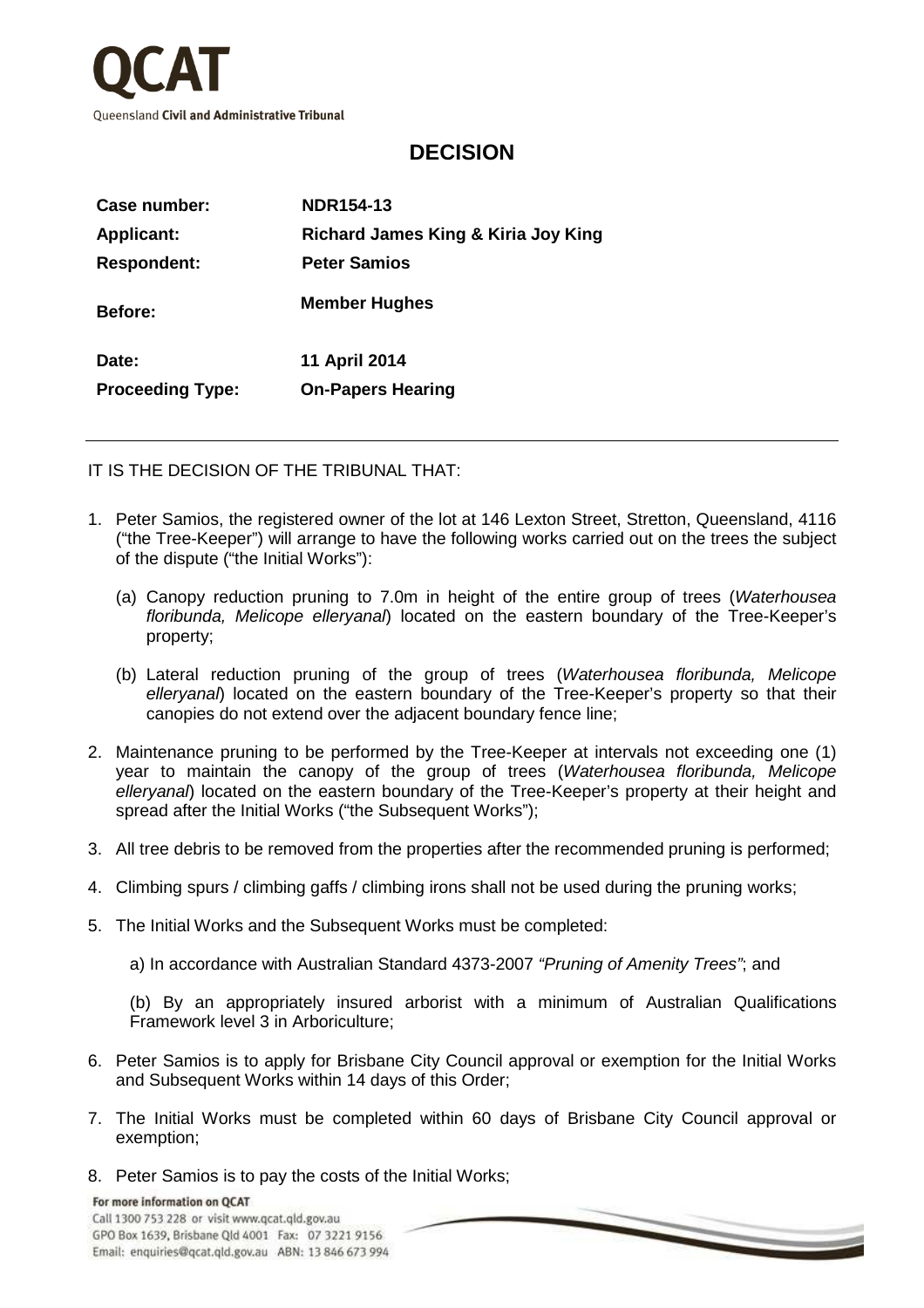

## **DECISION**

| Richard James King & Kiria Joy King |
|-------------------------------------|
|                                     |
|                                     |
|                                     |
|                                     |
|                                     |

IT IS THE DECISION OF THE TRIBUNAL THAT:

- 1. Peter Samios, the registered owner of the lot at 146 Lexton Street, Stretton, Queensland, 4116 ("the Tree-Keeper") will arrange to have the following works carried out on the trees the subject of the dispute ("the Initial Works"):
	- (a) Canopy reduction pruning to 7.0m in height of the entire group of trees (Waterhousea floribunda, Melicope elleryanal) located on the eastern boundary of the Tree-Keeper's property;
	- (b) Lateral reduction pruning of the group of trees (Waterhousea floribunda, Melicope elleryanal) located on the eastern boundary of the Tree-Keeper's property so that their canopies do not extend over the adjacent boundary fence line;
- 2. Maintenance pruning to be performed by the Tree-Keeper at intervals not exceeding one (1) year to maintain the canopy of the group of trees (Waterhousea floribunda, Melicope elleryanal) located on the eastern boundary of the Tree-Keeper's property at their height and spread after the Initial Works ("the Subsequent Works");
- 3. All tree debris to be removed from the properties after the recommended pruning is performed;
- 4. Climbing spurs / climbing gaffs / climbing irons shall not be used during the pruning works;
- 5. The Initial Works and the Subsequent Works must be completed:
	- a) In accordance with Australian Standard 4373-2007 "Pruning of Amenity Trees"; and

(b) By an appropriately insured arborist with a minimum of Australian Qualifications Framework level 3 in Arboriculture;

- 6. Peter Samios is to apply for Brisbane City Council approval or exemption for the Initial Works and Subsequent Works within 14 days of this Order;
- 7. The Initial Works must be completed within 60 days of Brisbane City Council approval or exemption;

 $\overline{\phantom{a}}$ 

8. Peter Samios is to pay the costs of the Initial Works;